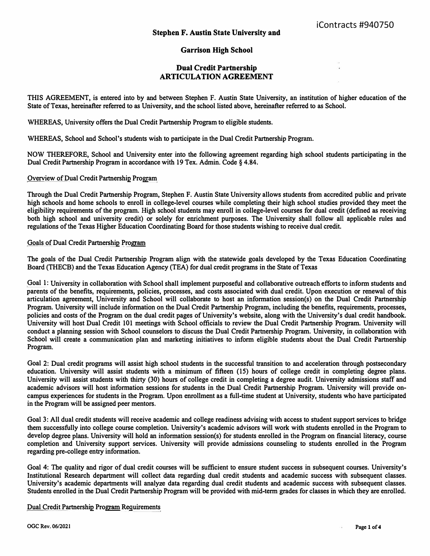## **Garrison High School**

## **Dual Credit Partnership ARTICULATION AGREEMENT**

**THIS AGREEMENT, is entered into by and between Stephen F. Austin State University, an institution of higher education of the State of Texas, hereinafter referred to as University, and the school listed above, hereinafter referred to as School.** 

**WHEREAS, University offers the Dual Credit Partnership Program to eligible students.** 

**WHEREAS, School and School's students wish to participate in the Dual Credit Partnership Program.** 

**NOW THEREFORE, School and University enter into the following agreement regarding high school s�dents participating in the Dual Credit Partnership Program in accordance with 19 Tex. Admin. Code § 4.84.** 

**Overview of Dual Credit Partnership Program** 

**Through the Dual Credit Partnership Program, Stephen F. Austin State University allows students from accredited public and private high schools and home schools to enroll in college-level courses while completing their high school studies provided they meet the eligibility requirements of the program. High school students may enroll in college-level courses for dual credit ( defined as receiving both high school and university credit) or solely for enrichment purposes. The University shall follow all applicable rules and regulations of the Texas Higher Education Coordinating Board for those students wishing to receive dual credit.** 

## **Goals of Dual Credit Partnership Program**

**The goals of the Dual Credit Partnership Program align with the statewide goals developed by the Texas Education Coordinating Board (THECB) and the Texas Education Agency (TEA) for dual credit programs in the State of Texas** 

**Goal 1: University in collaboration with School shall implement purposeful and collaborative outreach efforts to inform students and parents of the benefits, requirements, policies, processes, and costs associated with dual credit. Upon execution or renewal of this articulation agreement, University and School will collaborate to host an information session(s) on the Dual Credit Partnership Program. University will include information on the Dual Credit Partnership Program, including the benefits, requirements, processes, policies and costs of the Program on the dual credit pages of University's website, along with the University's dual credit handbook. University will host Dual Credit 101 meetings with School officials to review the Dual Credit Partnership Program. University will conduct a planning session with School counselors to discuss the Dual Credit Partnership Program. University, in collaboration with School will create a communication plan and marketing initiatives to inform eligible students about the Dual Credit Partnership Program.** 

**Goal 2: Dual credit programs will assist high school students in the successful transition to and acceleration through postsecondary**  education. University will assist students with a minimum of fifteen (15) hours of college credit in completing degree plans. **University will assist students with thirty (30) hours of college credit in completing a degree audit. University admissions staff and academic advisors will host infonnation sessions for students in the Dual Credit Partnership Program. University will provide oncampus experiences for students in the Program. Upon enrollment as a full-time student at University, students who have participated in the Program will be assigned peer mentors.** 

**Goal 3: All dual credit students will receive academic and college readiness advising with access to student support services to bridge them successfully into college course completion. University's academic advisors will work with students enrolled in the Program to develop degree plans. University will hold an information session(s) for students enrolled in the Program on financial literacy, course completion and University support services. University will provide admissions counseling to students enrolled in the Program regarding pre-college entry information.** 

**Goal 4: The quality and rigor of dual credit courses will be sufficient to ensure student success in subsequent courses. University's Institutional Research department will collect data regarding dual credit students and academic success with subsequent classes. University's academic departments will analyze data regarding dual credit students and academic success with subsequent classes. Students enrolled in the Dual Credit Partnership Program will be provided with mid-term grades for classes in which they are enrolled.** 

**Dual Credit Partnership Program Requirements**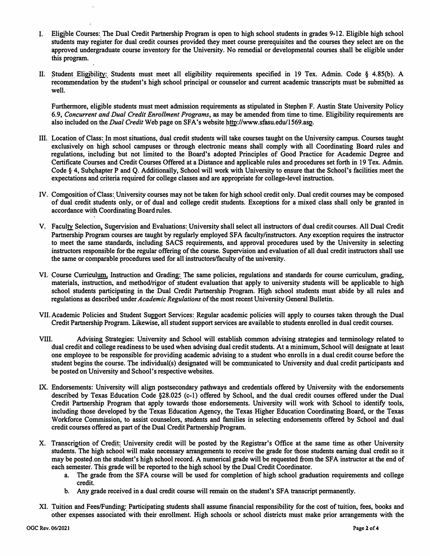- **I. Eligible Courses: The Dual Credit Partnership Program is open to high school students in grades 9-12. Eligible high school students may register for dual credit courses prov***i***ded they meet course prerequisites and the courses they select are on the approved undergraduate course inventory for the University. No remedial or developmental courses shall be eligible under this program.**
- II. Student Eligibility: Students must meet all eligibility requirements specified in 19 Tex. Admin. Code § 4.85(b). A **recommendation by the student's high school principal or counselor and current academic transcripts must be submitted as well.**

**Furthermore, eligible students must meet admission requirements as stipulated in Stephen F. Austin State University Policy**  6.9, *Concurrent and Dual Credit Enrollment Programs*, as may be amended from time to time. Eligibility requirements are **also included on the** *Dual Credit* **Web page on SFA's website http://www.sfasu.edu/1569.asp.** 

- **Ill. Location of Class: In most situations, dual credit students will take co***ur***ses taught on the University campus. Courses taught exclusively on high school campuses or through electronic means shall comply with all Coordinating Board rules and regulations, including but not limited to the Board's adopted Principles of Good Practice for Academic Degree and Certificate Courses and Credit Courses Offered at a Distance and applicable rules and procedures set forth in 19 Tex. Admin.**  Code § 4, Subchapter P and Q. Additionally, School will work with University to ensure that the School's facilities meet the **expectations and criteria required for college classes and are appropriate for college-level instruction.**
- **IV. Composition of Class: University courses may not be taken for high school credit only. Dual credit courses may be composed of dual credit students only, or of dual and college credit students. Exceptions for a mixed class shall only be granted in accordance with Coordinating Board rules.**
- **V. Faculty Selection, Supervision and Evaluations: University shall select all instructors of dual credit courses. All Dual Credit**  Partnership Program courses are taught by regularly employed SFA faculty/instructors. Any exception requires the instructor **to meet the same standards, including SACS requirements, and approval procedures used by the University in selecting instructors responsible for the regular offering of the course. Supervision and evaluation of all dual credit instructors shall use the same or comparable procedures used for all instructors/faculty of the university.**
- **VI. Course Curriculum, Instruction and Grading: The same policies, regulations and standards for course curriculum, grading, materials, instruction, and method/rigor of student evaluation that apply to university students will be applicable to high school students participating in the Dual Credit Partnership Program. High school students must abide by all rules and regulations as described under** *Academic Regulations* **of the most recent University General Bulletin.**
- **VII. Academic Policies and Student Support Services: Regular academic policies will apply to courses taken through the Dual Credit Partnership Program. Likewise, all student support services are available to students enrolled in dual credit courses.**
- **VIII. Advising Strategies: University and School will establish common advising strategies and terminology related to dual credit and college readiness to be used when advising dual credit students. At a minimum, School will designate at least one employee to be responsible for providing academic advising to a student who enrolls in a dual credit course before the student begins the course. The individual(s) designated will be communicated to University and dual credit participants and be posted on University and School's respective websites.**
- **IX. Endorsements: University will align postsecondary pathways and credentials offered by University with the endorsements described by Texas Education Code §28.025 (c-1) offered by School, and the dual credit courses offered under the Dual Credit Partnership Program that apply towards those endorsements. University will work with School to identify tools, including those developed by the Texas Education Agency, the Texas Higher Education Coordinating Board, or the Texas Workforce Commission, to assist counselors, students and families in selecting endorsements offered by School and dual credit courses offered as part of the Dual Credit Partnership Program.**
- **X. Transcription of Credit: University credit will be posted by the Registrar's Office at the same time as other University students. The high school will make necessary arrangements to receive the grade for those students earning dual credit so it may be posted.on the student's high school record. A numerical grade will be requested from the SFA instructor at the end of each semester. This grade will be reported to the high school by the Dual Credit Coordinator.** 
	- a. The grade from the SFA course will be used for completion of high school graduation requirements and college **credit.**
	- **b. Any grade received in a dual credit course will remain on the student's SFA transcript permanently.**
- **XI. Tuition and Fees/Funding: Participating students shall assume financial responsibility for the cost of tuition, fees, books and other expenses associated with their enrollment. High schools or school districts mu***s***t make prior arrangements with the**